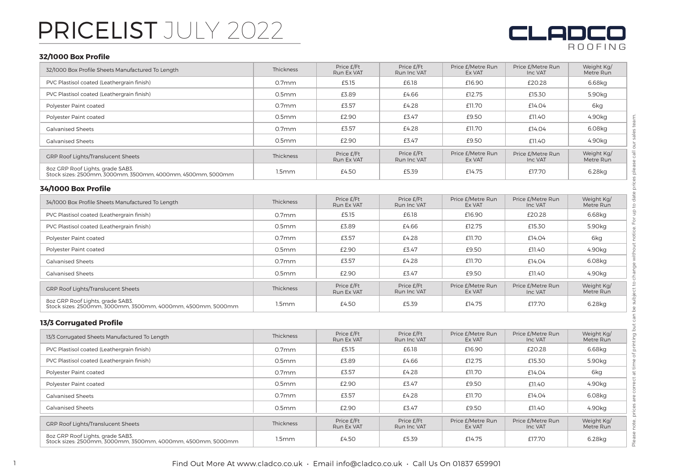

#### **32/1000 Box Profile**

| 32/1000 Box Profile                                                                             |                   |                          |                           |                             |                              | <b>ROOFING</b>          |
|-------------------------------------------------------------------------------------------------|-------------------|--------------------------|---------------------------|-----------------------------|------------------------------|-------------------------|
| 32/1000 Box Profile Sheets Manufactured To Length                                               | Thickness         | Price £/Ft<br>Run Ex VAT | Price £/Ft<br>Run Inc VAT | Price £/Metre Run<br>Ex VAT | Price £/Metre Run<br>Inc VAT | Weight Kg/<br>Metre Run |
| PVC Plastisol coated (Leathergrain finish)                                                      | 0.7 <sub>mm</sub> | £5.15                    | £6.18                     | £16.90                      | £20.28                       | 6.68kg                  |
| PVC Plastisol coated (Leathergrain finish)                                                      | 0.5 <sub>mm</sub> | £3.89                    | £4.66                     | £12.75                      | £15.30                       | 5.90kg                  |
| Polyester Paint coated                                                                          | 0.7 <sub>mm</sub> | £3.57                    | £4.28                     | £11.70                      | £14.04                       | 6kg                     |
| Polyester Paint coated                                                                          | 0.5 <sub>mm</sub> | £2.90                    | £3.47                     | £9.50                       | £11.40                       | 4.90kg                  |
| <b>Galvanised Sheets</b>                                                                        | 0.7 <sub>mm</sub> | £3.57                    | £4.28                     | £11.70                      | £14.04                       | 6.08kg                  |
| <b>Galvanised Sheets</b>                                                                        | 0.5mm             | £2.90                    | £3.47                     | £9.50                       | £11.40                       | 4.90kg                  |
| GRP Roof Lights/Translucent Sheets                                                              | <b>Thickness</b>  | Price £/Ft<br>Run Ex VAT | Price £/Ft<br>Run Inc VAT | Price £/Metre Run<br>Ex VAT | Price £/Metre Run<br>Inc VAT | Weight Kg/<br>Metre Run |
| 8oz GRP Roof Lights, grade SAB3.<br>Stock sizes: 2500mm, 3000mm, 3500mm, 4000mm, 4500mm, 5000mm | 1.5mm             | £4.50                    | £5.39                     | £14.75                      | £17.70                       | 6.28kg                  |
| 34/1000 Box Profile                                                                             |                   |                          |                           |                             |                              |                         |
| 34/1000 Box Profile Sheets Manufactured To Length                                               | <b>Thickness</b>  | Price £/Ft<br>Run Ex VAT | Price £/Ft<br>Run Inc VAT | Price £/Metre Run<br>Ex VAT | Price £/Metre Run<br>Inc VAT | Weight Kg/<br>Metre Run |
| PVC Plastisol coated (Leathergrain finish)                                                      | 0.7 <sub>mm</sub> | £5.15                    | £6.18                     | £16.90                      | £20.28                       | 6.68kg                  |
| PVC Plastisol coated (Leathergrain finish)                                                      | 0.5 <sub>mm</sub> | £3.89                    | £4.66                     | £12.75                      | £15.30                       | 5.90kg                  |
| Polyester Paint coated                                                                          | 0.7 <sub>mm</sub> | £3.57                    | £4.28                     | £11.70                      | £14.04                       | 6kg                     |
| Polyester Paint coated                                                                          | 0.5 <sub>mm</sub> | £2.90                    | £3.47                     | £9.50                       | £11.40                       | 4.90kg                  |
| <b>Galvanised Sheets</b>                                                                        | 0.7 <sub>mm</sub> | £3.57                    | £4.28                     | £11.70                      | £14.04                       | 6.08kg                  |
| <b>Galvanised Sheets</b>                                                                        | 0.5 <sub>mm</sub> | £2.90                    | £3.47                     | £9.50                       | £11.40                       | 4.90kg                  |
| GRP Roof Lights/Translucent Sheets                                                              | <b>Thickness</b>  | Price £/Ft<br>Run Ex VAT | Price £/Ft<br>Run Inc VAT | Price £/Metre Run<br>Ex VAT | Price £/Metre Run<br>Inc VAT | Weight Kg/<br>Metre Run |
| 8oz GRP Roof Lights, grade SAB3.<br>Stock sizes: 2500mm, 3000mm, 3500mm, 4000mm, 4500mm, 5000mm | 1.5mm             | £4.50                    | £5.39                     | £14.75                      | £17.70                       | 6.28kg                  |
| <b>13/3 Corrugated Profile</b>                                                                  |                   |                          |                           |                             |                              |                         |
| 13/3 Corrugated Sheets Manufactured To Length                                                   | Thickness         | Price £/Ft<br>Run Ex VAT | Price £/Ft<br>Run Inc VAT | Price £/Metre Run<br>Ex VAT | Price £/Metre Run<br>Inc VAT | Weight Kg/<br>Metre Run |
| PVC Plastisol coated (Leathergrain finish)                                                      | 0.7 <sub>mm</sub> | £5.15                    | £6.18                     | £16.90                      | £20.28                       | 6.68kg                  |
| PVC Plastisol coated (Leathergrain finish)                                                      | 0.5mm             | £3.89                    | £4.66                     | £12.75                      | £15.30                       | 5.90kg                  |
| Polyester Paint coated                                                                          | 0.7 <sub>mm</sub> | £3.57                    | £4.28                     | £11.70                      | £14.04                       | 6kg                     |
| Polyester Paint coated                                                                          | 0.5 <sub>mm</sub> | £2.90                    | £3.47                     | £9.50                       | £11.40                       | 4.90kg                  |
| <b>Galvanised Sheets</b>                                                                        | 0.7 <sub>mm</sub> | £3.57                    | £4.28                     | £11.70                      | £14.04                       | 6.08kg                  |
| <b>Galvanised Sheets</b>                                                                        | 0.5 <sub>mm</sub> | £2.90                    | £3.47                     | £9.50                       | £11.40                       | 4.90kg                  |
| GRP Roof Lights/Translucent Sheets                                                              | Thickness         | Price £/Ft<br>Run Ex VAT | Price £/Ft<br>Run Inc VAT | Price £/Metre Run<br>Ex VAT | Price £/Metre Run<br>Inc VAT | Weight Kg/<br>Metre Run |
| 8oz GRP Roof Lights, grade SAB3.<br>Stock sizes: 2500mm, 3000mm, 3500mm, 4000mm, 4500mm, 5000mm | 1.5mm             | £4.50                    | £5.39                     | £14.75                      | £17.70                       | 6.28kg                  |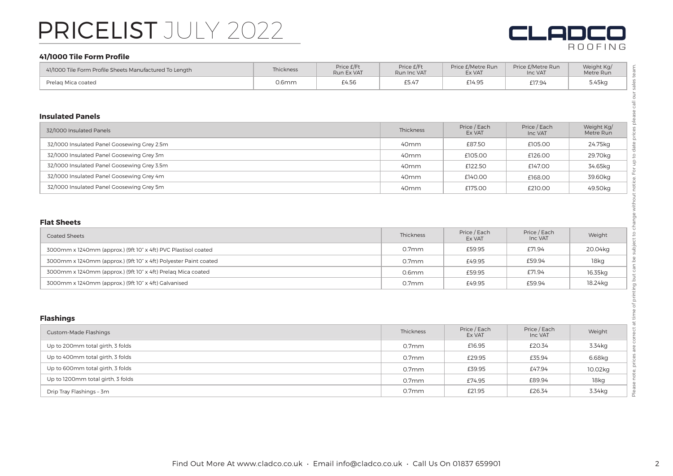

#### **41/1000 Tile Form Profile**

| 41/1000 Tile Form Profile Sheets Manufactured To Length | Thickness | Price £/Ft<br>Run Ex VAT | Price £/Ft<br>Run Inc VAT | Price £/Metre Run<br>Ex VAT | Price £/Metre Run<br>Inc VAT | Weight Kg/<br>Metre Run |  |
|---------------------------------------------------------|-----------|--------------------------|---------------------------|-----------------------------|------------------------------|-------------------------|--|
| Prelag Mica coated                                      | $0.6$ mm  | £4.56                    | £5.47                     | £14.95                      | £17.94                       | 5.45kg                  |  |

#### **Insulated Panels**

| 32/1000 Insulated Panels                    | Thickness        | Price / Each<br>Ex VAT | Price / Each<br>Inc VAT | Weight Kg/<br>Metre Run |
|---------------------------------------------|------------------|------------------------|-------------------------|-------------------------|
| 32/1000 Insulated Panel Goosewing Grey 2.5m | 40 <sub>mm</sub> | £87.50                 | £105.00                 | 24.75kg                 |
| 32/1000 Insulated Panel Goosewing Grey 3m   | 40 <sub>mm</sub> | £105.00                | £126.00                 | 29.70kg                 |
| 32/1000 Insulated Panel Goosewing Grey 3.5m | 40 <sub>mm</sub> | £122.50                | £147.00                 | 34.65kg                 |
| 32/1000 Insulated Panel Goosewing Grey 4m   | 40 <sub>mm</sub> | £140.00                | £168.00                 | 39.60kg                 |
| 32/1000 Insulated Panel Goosewing Grey 5m   | 40 <sub>mm</sub> | £175.00                | £210.00                 | 49.50kg                 |

#### **Flat Sheets**

| <b>Coated Sheets</b>                                             | Thickness         | Price / Each<br>Ex VAT | Price / Each<br>Inc VAT | Weight  |
|------------------------------------------------------------------|-------------------|------------------------|-------------------------|---------|
| 3000mm x 1240mm (approx.) (9ft 10" x 4ft) PVC Plastisol coated   | 0.7 <sub>mm</sub> | £59.95                 | £71.94                  | 20.04kg |
| 3000mm x 1240mm (approx.) (9ft 10" x 4ft) Polyester Paint coated | 0.7 <sub>mm</sub> | £49.95                 | £59.94                  | 18kg    |
| 3000mm x 1240mm (approx.) (9ft 10" x 4ft) Prelag Mica coated     | $0.6$ mm          | £59.95                 | £71.94                  | 16.35kg |
| 3000mm x 1240mm (approx.) (9ft 10" x 4ft) Galvanised             | $0.7$ mm          | £49.95                 | £59.94                  | 18.24kg |

| <b>Flashings</b>                  |           |                        |                         |         |
|-----------------------------------|-----------|------------------------|-------------------------|---------|
| <b>Custom-Made Flashings</b>      | Thickness | Price / Each<br>Ex VAT | Price / Each<br>Inc VAT | Weight  |
| Up to 200mm total girth, 3 folds  | $0.7$ mm  | £16.95                 | £20.34                  | 3.34kg  |
| Up to 400mm total girth, 3 folds  | $0.7$ mm  | £29.95                 | £35.94                  | 6.68kg  |
| Up to 600mm total girth, 3 folds  | $0.7$ mm  | £39.95                 | £47.94                  | 10.02kg |
| Up to 1200mm total girth, 3 folds | $0.7$ mm  | £74.95                 | £89.94                  | 18kg    |
| Drip Tray Flashings - 3m          | $0.7$ mm  | £21.95                 | £26.34                  | 3.34kg  |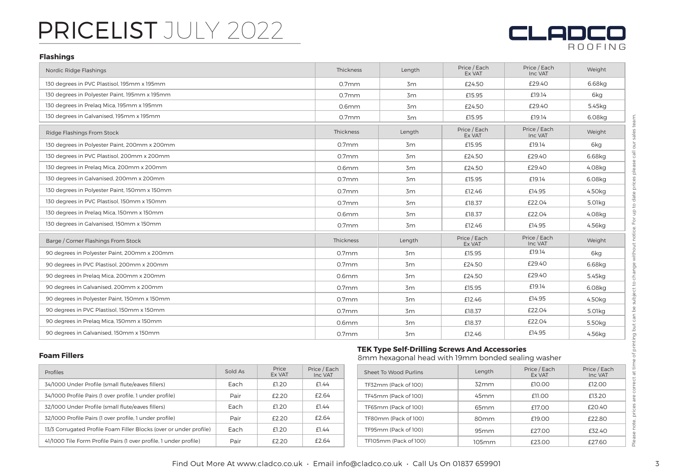

#### **Flashings**

| Nordic Ridge Flashings                        | Thickness         | Length | Price / Each<br>Ex VAT | Price / Each<br>Inc VAT | Weight             |
|-----------------------------------------------|-------------------|--------|------------------------|-------------------------|--------------------|
| 130 degrees in PVC Plastisol, 195mm x 195mm   | $0.7$ mm          | 3m     | £24.50                 | £29.40                  | 6.68kg             |
| 130 degrees in Polyester Paint, 195mm x 195mm | $0.7$ mm          | 3m     | £15.95                 | £19.14                  | 6ka                |
| 130 degrees in Prelag Mica, 195mm x 195mm     | $0.6$ mm          | 3m     | £24.50                 | £29.40                  | 5.45kg             |
| 130 degrees in Galvanised, 195mm x 195mm      | 0.7 <sub>mm</sub> | 3m     | £15.95                 | £19.14                  | 6.08kg             |
| Ridge Flashings From Stock                    | Thickness         | Length | Price / Each<br>Ex VAT | Price / Each<br>Inc VAT | Weight             |
| 130 degrees in Polyester Paint, 200mm x 200mm | 0.7 <sub>mm</sub> | 3m     | £15.95                 | £19.14                  | 6kg                |
| 130 degrees in PVC Plastisol, 200mm x 200mm   | $0.7$ mm          | 3m     | £24.50                 | £29.40                  | 6.68kg             |
| 130 degrees in Prelag Mica, 200mm x 200mm     | $0.6$ mm          | 3m     | £24.50                 | £29.40                  | 4.08ka             |
| 130 degrees in Galvanised, 200mm x 200mm      | $0.7$ mm          | 3m     | £15.95                 | £19.14                  | 6.08kg             |
| 130 degrees in Polyester Paint, 150mm x 150mm | 0.7 <sub>mm</sub> | 3m     | £12.46                 | £14.95                  | 4.50kg             |
| 130 degrees in PVC Plastisol, 150mm x 150mm   | $0.7$ mm          | 3m     | £18.37                 | £22.04                  | 5.01kg             |
| 130 degrees in Prelag Mica, 150mm x 150mm     | $0.6$ mm          | 3m     | £18.37                 | £22.04                  | 4.08kg             |
| 130 degrees in Galvanised, 150mm x 150mm      | $0.7$ mm          | 3m     | £12.46                 | £14.95                  | 4.56kg             |
| Barge / Corner Flashings From Stock           | Thickness         | Length | Price / Each<br>Ex VAT | Price / Each<br>Inc VAT | Weight             |
| 90 degrees in Polyester Paint, 200mm x 200mm  | $0.7$ mm          | 3m     | £15.95                 | £19.14                  | 6kg                |
| 90 degrees in PVC Plastisol, 200mm x 200mm    | 0.7 <sub>mm</sub> | 3m     | £24.50                 | £29.40                  | 6.68kg             |
| 90 degrees in Prelag Mica, 200mm x 200mm      | $0.6$ mm          | 3m     | £24.50                 | £29.40                  | 5.45kg             |
| 90 degrees in Galvanised, 200mm x 200mm       | $0.7$ mm          | 3m     | £15.95                 | £19.14                  | 6.08kg             |
| 90 degrees in Polyester Paint, 150mm x 150mm  | $0.7$ mm          | 3m     | £12.46                 | £14.95                  | 4.50kg             |
| 90 degrees in PVC Plastisol, 150mm x 150mm    | $0.7$ mm          | 3m     | £18.37                 | £22.04                  | 5.01kg             |
| 90 degrees in Prelag Mica, 150mm x 150mm      | 0.6 <sub>mm</sub> | 3m     | £18.37                 | £22.04                  | 5.50 <sub>kg</sub> |
| 90 degrees in Galvanised, 150mm x 150mm       | $0.7$ mm          | 3m     | £12.46                 | £14.95                  | 4.56kg             |

#### **Foam Fillers**

| <b>Profiles</b>                                                    | Sold As | Price<br>Ex VAT | Price / Each<br>Inc VAT |
|--------------------------------------------------------------------|---------|-----------------|-------------------------|
| 34/1000 Under Profile (small flute/eaves fillers)                  | Each    | £1.20           | f144                    |
| 34/1000 Profile Pairs (1 over profile, 1 under profile)            | Pair    | £2.20           | £2.64                   |
| 32/1000 Under Profile (small flute/eaves fillers)                  | Each    | <b>f120</b>     | f144                    |
| 32/1000 Profile Pairs (1 over profile, 1 under profile)            | Pair    | f220            | £2.64                   |
| 13/3 Corrugated Profile Foam Filler Blocks (over or under profile) | Each    | <b>f120</b>     | £1.44                   |
| 41/1000 Tile Form Profile Pairs (1 over profile, 1 under profile)  | Pair    | f220            | f2.64                   |

### **TEK Type Self-Drilling Screws And Accessories**

8mm hexagonal head with 19mm bonded sealing washer

| ice / Each<br>Inc VAT | Sheet To Wood Purlins | Length           | Price / Each<br>Ex VAT | Price / Each<br>Inc VAT |
|-----------------------|-----------------------|------------------|------------------------|-------------------------|
| £1.44                 | TF32mm (Pack of 100)  | 32mm             | £10.00                 | £12.00                  |
| £2.64                 | TF45mm (Pack of 100)  | 45 <sub>mm</sub> | £11.00                 | £13.20                  |
| £1.44                 | TF65mm (Pack of 100)  | 65 <sub>mm</sub> | £17.00                 | £20.40                  |
| £2.64                 | TF80mm (Pack of 100)  | 80 <sub>mm</sub> | £19.00                 | £22.80                  |
| £1.44                 | TF95mm (Pack of 100)  | 95mm             | £27.00                 | £32.40                  |
| £2.64                 | TF105mm (Pack of 100) | $105$ mm         | £23.00                 | £27.60                  |

 $\overline{\cap}$